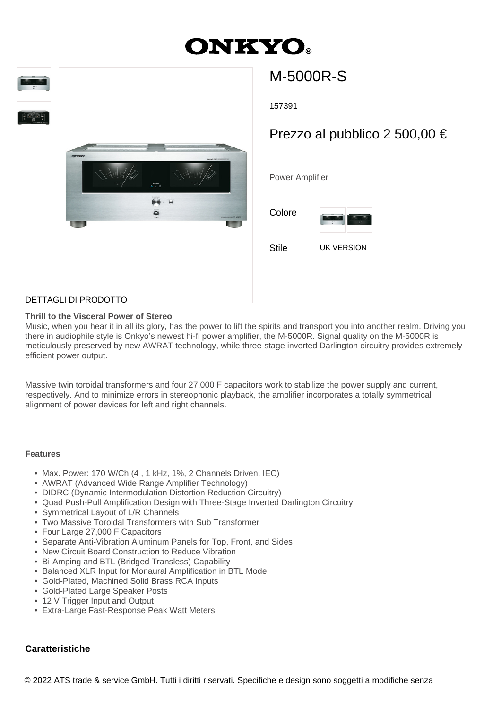# **ONKYO.**



## M-5000R-S

157391

### Prezzo al pubblico 2 500,00 €

Power Amplifier

Colore



Stile UK VERSION

#### DETTAGLI DI PRODOTTO

#### **Thrill to the Visceral Power of Stereo**

Music, when you hear it in all its glory, has the power to lift the spirits and transport you into another realm. Driving you there in audiophile style is Onkyo's newest hi-fi power amplifier, the M-5000R. Signal quality on the M-5000R is meticulously preserved by new AWRAT technology, while three-stage inverted Darlington circuitry provides extremely efficient power output.

Massive twin toroidal transformers and four 27,000 F capacitors work to stabilize the power supply and current, respectively. And to minimize errors in stereophonic playback, the amplifier incorporates a totally symmetrical alignment of power devices for left and right channels.

#### **Features**

- Max. Power: 170 W/Ch (4 , 1 kHz, 1%, 2 Channels Driven, IEC)
- AWRAT (Advanced Wide Range Amplifier Technology)
- DIDRC (Dynamic Intermodulation Distortion Reduction Circuitry)
- Quad Push-Pull Amplification Design with Three-Stage Inverted Darlington Circuitry
- Symmetrical Layout of L/R Channels
- Two Massive Toroidal Transformers with Sub Transformer
- Four Large 27,000 F Capacitors
- Separate Anti-Vibration Aluminum Panels for Top, Front, and Sides
- New Circuit Board Construction to Reduce Vibration
- Bi-Amping and BTL (Bridged Transless) Capability
- Balanced XLR Input for Monaural Amplification in BTL Mode
- Gold-Plated, Machined Solid Brass RCA Inputs
- Gold-Plated Large Speaker Posts
- 12 V Trigger Input and Output
- Extra-Large Fast-Response Peak Watt Meters

#### **Caratteristiche**